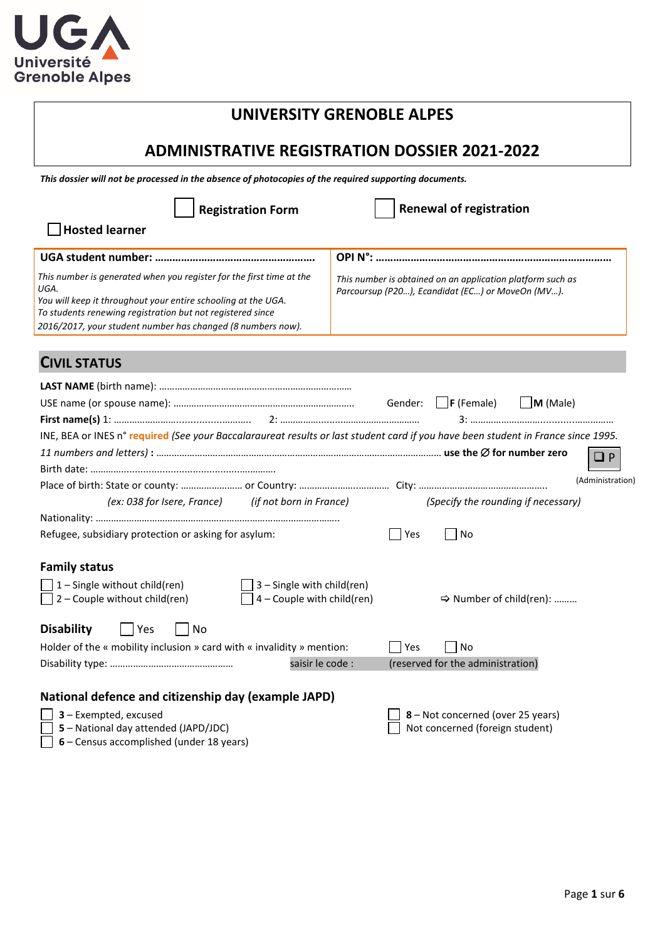

# **UNIVERSITY GRENOBLE ALPES**

# **ADMINISTRATIVE REGISTRATION DOSSIER 2021-2022**

*This dossier will not be processed in the absence of photocopies of the required supporting documents.* 

| <b>Registration Form</b>                                                                                                                                                                                                                                                   | <b>Renewal of registration</b>                                                                                 |
|----------------------------------------------------------------------------------------------------------------------------------------------------------------------------------------------------------------------------------------------------------------------------|----------------------------------------------------------------------------------------------------------------|
| <b>Hosted learner</b>                                                                                                                                                                                                                                                      |                                                                                                                |
|                                                                                                                                                                                                                                                                            |                                                                                                                |
| This number is generated when you register for the first time at the<br>UGA.<br>You will keep it throughout your entire schooling at the UGA.<br>To students renewing registration but not registered since<br>2016/2017, your student number has changed (8 numbers now). | This number is obtained on an application platform such as<br>Parcoursup (P20), Ecandidat (EC) or MoveOn (MV). |
| <b>CIVIL STATUS</b>                                                                                                                                                                                                                                                        |                                                                                                                |
|                                                                                                                                                                                                                                                                            | $\Box$ F (Female)<br>$\Box$ M (Male)<br>Gender:                                                                |
| INE, BEA or INES n° required (See your Baccalaraureat results or last student card if you have been student in France since 1995.                                                                                                                                          | $\Box P$<br>(Administration)                                                                                   |
| (ex: 038 for Isere, France) (if not born in France)                                                                                                                                                                                                                        | (Specify the rounding if necessary)                                                                            |
| Refugee, subsidiary protection or asking for asylum:                                                                                                                                                                                                                       | Yes<br>No                                                                                                      |
| <b>Family status</b><br>$\exists$ 1 – Single without child(ren)<br>$\Box$ 3 – Single with child(ren)<br>$\Box$ 2 – Couple without child(ren)<br>$\exists$ 4 – Couple with child(ren)                                                                                       | → Number of child(ren):                                                                                        |
| <b>Disability</b><br>No<br>  Yes                                                                                                                                                                                                                                           |                                                                                                                |
| Holder of the « mobility inclusion » card with « invalidity » mention:                                                                                                                                                                                                     | l Yes<br>No                                                                                                    |
| saisir le code :                                                                                                                                                                                                                                                           | (reserved for the administration)                                                                              |
| National defence and citizenship day (example JAPD)<br>3 - Exempted, excused<br>5 - National day attended (JAPD/JDC)<br>6 - Census accomplished (under 18 years)                                                                                                           | 8 - Not concerned (over 25 years)<br>Not concerned (foreign student)                                           |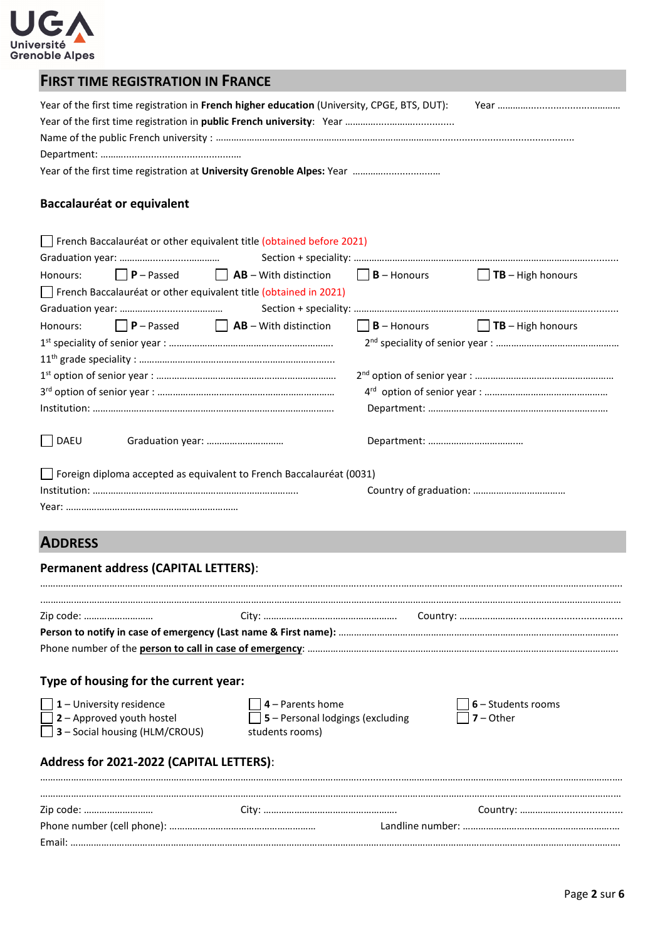

| <b>FIRST TIME REGISTRATION IN FRANCE</b>                                                                                                                                                                                                                                    |
|-----------------------------------------------------------------------------------------------------------------------------------------------------------------------------------------------------------------------------------------------------------------------------|
| Year of the first time registration in French higher education (University, CPGE, BTS, DUT):                                                                                                                                                                                |
| Baccalauréat or equivalent                                                                                                                                                                                                                                                  |
| French Baccalauréat or other equivalent title (obtained before 2021)<br>Honours: $\Box$ <b>P</b> – Passed $\Box$ <b>AB</b> – With distinction $\Box$ <b>B</b> – Honours $\Box$ <b>TB</b> – High honours<br>French Baccalauréat or other equivalent title (obtained in 2021) |
| $\Box$ <b>P</b> – Passed $\Box$ <b>AB</b> – With distinction $\Box$ <b>B</b> – Honours $\Box$ <b>TB</b> – High honours<br>Honours:                                                                                                                                          |

| DAEU                                                                        |  |
|-----------------------------------------------------------------------------|--|
| $\Box$ Foreign diploma accepted as equivalent to French Baccalauréat (0031) |  |
|                                                                             |  |

Year: …………………………………………….……………

# **ADDRESS**

# **Permanent address (CAPITAL LETTERS)**:

| Type of housing for the current year:                                                                               |                                                                                      |                                                |
|---------------------------------------------------------------------------------------------------------------------|--------------------------------------------------------------------------------------|------------------------------------------------|
| $\vert \vert$ 1 – University residence<br>$\Box$ 2 – Approved youth hostel<br>$\Box$ 3 – Social housing (HLM/CROUS) | $ $   4 – Parents home<br>$\Box$ 5 – Personal lodgings (excluding<br>students rooms) | $\vert$ 6 – Students rooms<br>$\Box$ 7 – Other |
| Address for 2021-2022 (CAPITAL LETTERS):                                                                            |                                                                                      |                                                |
|                                                                                                                     |                                                                                      |                                                |
| Zip code:                                                                                                           |                                                                                      |                                                |
|                                                                                                                     |                                                                                      |                                                |
|                                                                                                                     |                                                                                      |                                                |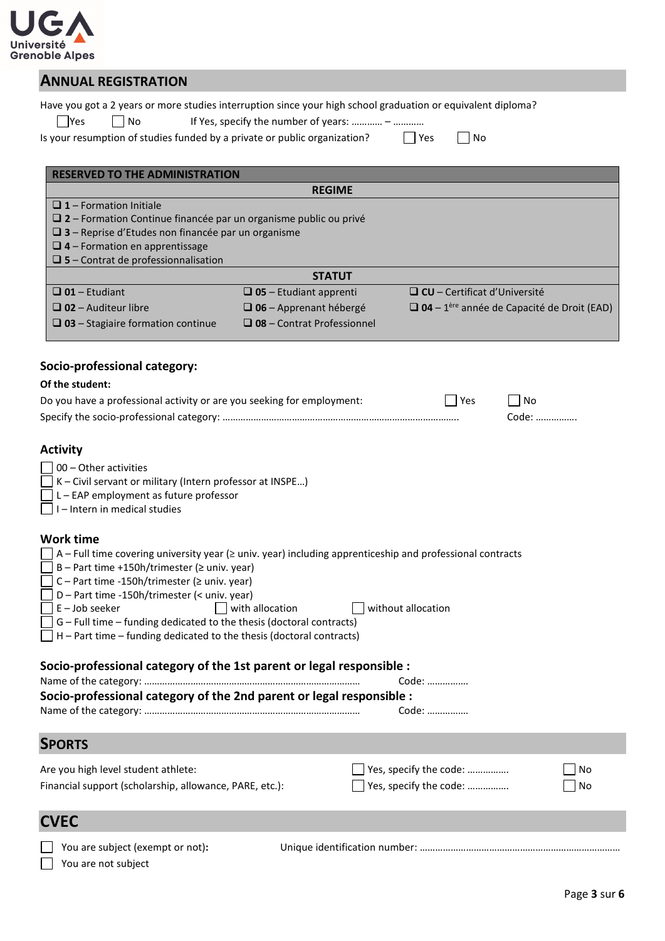

## **ANNUAL REGISTRATION**

|        |       | Have you got a 2 years or more studies interruption since your high school graduation or equivalent diploma? |         |       |
|--------|-------|--------------------------------------------------------------------------------------------------------------|---------|-------|
| l lYes | l INO | If Yes, specify the number of years: $-$                                                                     |         |       |
|        |       | Is your resumption of studies funded by a private or public organization?                                    | l l Yes | l INo |

| <b>RESERVED TO THE ADMINISTRATION</b>                                                                                                                                                                                                                                                                                                                                                                                                                                                                                                                                                                                                                                                                                                                                                                 |                                                                                                        |                                                  |                                                               |  |  |
|-------------------------------------------------------------------------------------------------------------------------------------------------------------------------------------------------------------------------------------------------------------------------------------------------------------------------------------------------------------------------------------------------------------------------------------------------------------------------------------------------------------------------------------------------------------------------------------------------------------------------------------------------------------------------------------------------------------------------------------------------------------------------------------------------------|--------------------------------------------------------------------------------------------------------|--------------------------------------------------|---------------------------------------------------------------|--|--|
|                                                                                                                                                                                                                                                                                                                                                                                                                                                                                                                                                                                                                                                                                                                                                                                                       | <b>REGIME</b>                                                                                          |                                                  |                                                               |  |  |
| $\Box$ 1 – Formation Initiale<br>$\square$ 2 – Formation Continue financée par un organisme public ou privé<br>$\square$ 3 – Reprise d'Etudes non financée par un organisme<br>$\Box$ 4 – Formation en apprentissage<br>$\square$ 5 – Contrat de professionnalisation                                                                                                                                                                                                                                                                                                                                                                                                                                                                                                                                 |                                                                                                        |                                                  |                                                               |  |  |
|                                                                                                                                                                                                                                                                                                                                                                                                                                                                                                                                                                                                                                                                                                                                                                                                       | <b>STATUT</b>                                                                                          |                                                  |                                                               |  |  |
| $\Box$ 01 - Etudiant<br>$\Box$ 02 - Auditeur libre<br>$\Box$ 03 – Stagiaire formation continue                                                                                                                                                                                                                                                                                                                                                                                                                                                                                                                                                                                                                                                                                                        | $\Box$ 05 - Etudiant apprenti<br>$\Box$ 06 - Apprenant hébergé<br>$\square$ 08 - Contrat Professionnel | $\Box$ CU – Certificat d'Université              | $\Box$ 04 - 1 <sup>ère</sup> année de Capacité de Droit (EAD) |  |  |
| Socio-professional category:                                                                                                                                                                                                                                                                                                                                                                                                                                                                                                                                                                                                                                                                                                                                                                          |                                                                                                        |                                                  |                                                               |  |  |
| Of the student:                                                                                                                                                                                                                                                                                                                                                                                                                                                                                                                                                                                                                                                                                                                                                                                       |                                                                                                        |                                                  |                                                               |  |  |
| Do you have a professional activity or are you seeking for employment:                                                                                                                                                                                                                                                                                                                                                                                                                                                                                                                                                                                                                                                                                                                                |                                                                                                        | Yes                                              | No.<br>Code:                                                  |  |  |
| <b>Activity</b><br>00 - Other activities<br>K - Civil servant or military (Intern professor at INSPE)<br>L - EAP employment as future professor<br>I-Intern in medical studies<br><b>Work time</b><br>$\Box$ A – Full time covering university year ( $\geq$ univ. year) including apprenticeship and professional contracts<br>B - Part time +150h/trimester ( $\ge$ univ. year)<br>C - Part time -150h/trimester (≥ univ. year)<br>D - Part time -150h/trimester (< univ. year)<br>$E -$ Job seeker<br>G - Full time - funding dedicated to the thesis (doctoral contracts)<br>H - Part time - funding dedicated to the thesis (doctoral contracts)<br>Socio-professional category of the 1st parent or legal responsible :<br>Socio-professional category of the 2nd parent or legal responsible : | with allocation                                                                                        | without allocation<br>Code:<br>Code:             |                                                               |  |  |
| <b>SPORTS</b>                                                                                                                                                                                                                                                                                                                                                                                                                                                                                                                                                                                                                                                                                                                                                                                         |                                                                                                        |                                                  |                                                               |  |  |
| Are you high level student athlete:<br>Financial support (scholarship, allowance, PARE, etc.):                                                                                                                                                                                                                                                                                                                                                                                                                                                                                                                                                                                                                                                                                                        |                                                                                                        | Yes, specify the code:<br>Yes, specify the code: | No<br>No                                                      |  |  |
| <b>CVEC</b>                                                                                                                                                                                                                                                                                                                                                                                                                                                                                                                                                                                                                                                                                                                                                                                           |                                                                                                        |                                                  |                                                               |  |  |
| You are subject (exempt or not):                                                                                                                                                                                                                                                                                                                                                                                                                                                                                                                                                                                                                                                                                                                                                                      |                                                                                                        |                                                  |                                                               |  |  |

You are not subject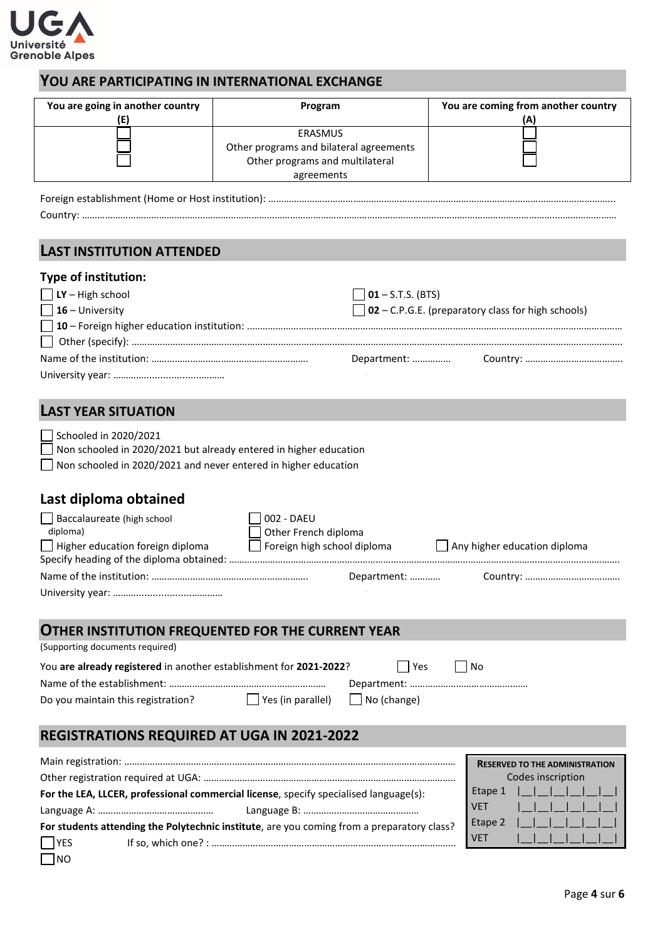

### **YOU ARE PARTICIPATING IN INTERNATIONAL EXCHANGE**

| You are going in another country<br>(E) | Program                                                                                             | You are coming from another country<br>(A) |
|-----------------------------------------|-----------------------------------------------------------------------------------------------------|--------------------------------------------|
|                                         | ERASMUS<br>Other programs and bilateral agreements<br>Other programs and multilateral<br>agreements |                                            |

Foreign establishment (Home or Host institution): ……………………………………………………………………………………………………………………... Country: ………………………………………………………………………………………………………………………………………………………………….……………………

#### **LAST INSTITUTION ATTENDED**

#### **Type of institution:**

| . , pc o.               |                                                           |  |
|-------------------------|-----------------------------------------------------------|--|
| $\Box$ LY – High school | $\Box$ 01 – S.T.S. (BTS)                                  |  |
| $\Box$ 16 – University  | $\Box$ 02 – C.P.G.E. (preparatory class for high schools) |  |
|                         |                                                           |  |
|                         |                                                           |  |
|                         |                                                           |  |
|                         |                                                           |  |

# **LAST YEAR SITUATION**

| Schooled in 2020/2021                                                    |  |
|--------------------------------------------------------------------------|--|
| $\Box$ Non schooled in 2020/2021 but already entered in higher education |  |
| $\Box$ Non schooled in 2020/2021 and never entered in higher education   |  |

# **Last diploma obtained**

NO

| Baccalaureate (high school<br>diploma)<br>$\Box$ Higher education foreign diploma | 002 - DAEU<br>Other French diploma<br>Foreign high school diploma |             | Any higher education diploma |
|-----------------------------------------------------------------------------------|-------------------------------------------------------------------|-------------|------------------------------|
|                                                                                   |                                                                   | Department: |                              |

# **OTHER INSTITUTION FREQUENTED FOR THE CURRENT YEAR**

| (Supporting documents required)                                                   |               |
|-----------------------------------------------------------------------------------|---------------|
| You are already registered in another establishment for 2021-2022?                | l Yes<br>l No |
|                                                                                   |               |
| $\Box$ Yes (in parallel) $\Box$ No (change)<br>Do you maintain this registration? |               |
|                                                                                   |               |
| <b>REGISTRATIONS REQUIRED AT UGA IN 2021-2022</b>                                 |               |

|                                                                                            | <b>RESERVED TO THE ADMINISTRATION</b> |
|--------------------------------------------------------------------------------------------|---------------------------------------|
|                                                                                            | Codes inscription                     |
| For the LEA, LLCER, professional commercial license, specify specialised language(s):      |                                       |
|                                                                                            | <b>VET</b><br>111111                  |
| For students attending the Polytechnic institute, are you coming from a preparatory class? | Etape 2<br>1111111                    |
| $\Box$ YES                                                                                 | 1111111<br><b>VET</b>                 |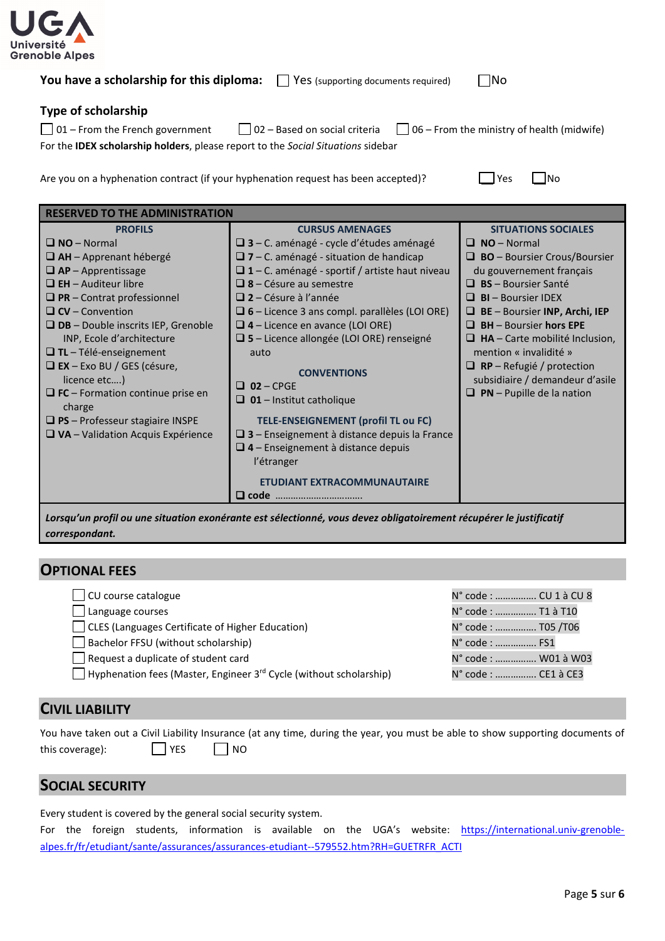

| You have a scholarship for this diploma: $\Box$ Yes (supporting documents required) |  | $\Box$ No |
|-------------------------------------------------------------------------------------|--|-----------|
|-------------------------------------------------------------------------------------|--|-----------|

#### **Type of scholarship**

| $\Box$ 01 – From the French government                                                          | $\Box$ 02 – Based on social criteria | $\Box$ 06 – From the ministry of health (midwife) |
|-------------------------------------------------------------------------------------------------|--------------------------------------|---------------------------------------------------|
| For the <b>IDEX scholarship holders</b> , please report to the <i>Social Situations</i> sidebar |                                      |                                                   |

Are you on a hyphenation contract (if your hyphenation request has been accepted)?  $\Box$  Yes  $\Box$  No

| Voc |  | INc |
|-----|--|-----|
|-----|--|-----|

| <b>RESERVED TO THE ADMINISTRATION</b>                                                                                                                                                                                                                                                                   |                                                                                                                                                                                                                                                                                                                                                                        |                                                                                                                                                                                                                                      |  |  |
|---------------------------------------------------------------------------------------------------------------------------------------------------------------------------------------------------------------------------------------------------------------------------------------------------------|------------------------------------------------------------------------------------------------------------------------------------------------------------------------------------------------------------------------------------------------------------------------------------------------------------------------------------------------------------------------|--------------------------------------------------------------------------------------------------------------------------------------------------------------------------------------------------------------------------------------|--|--|
| <b>PROFILS</b><br>$\Box$ NO – Normal<br>$\Box$ AH - Apprenant hébergé<br>$\Box$ AP – Apprentissage<br>$\Box$ EH – Auditeur libre<br>$\Box$ PR – Contrat professionnel<br>$\Box$ CV – Convention                                                                                                         | <b>CURSUS AMENAGES</b><br>$\Box$ 3 – C. aménagé - cycle d'études aménagé<br>$\Box$ 7 – C. aménagé - situation de handicap<br>$\Box$ 1 – C. aménagé - sportif / artiste haut niveau<br>$\Box$ 8 – Césure au semestre<br>$\Box$ 2 – Césure à l'année<br>$\Box$ 6 – Licence 3 ans compl. parallèles (LOI ORE)                                                             | <b>SITUATIONS SOCIALES</b><br>$\Box$ NO – Normal<br>$\Box$ <b>BO</b> – Boursier Crous/Boursier<br>du gouvernement français<br>$\Box$ BS - Boursier Santé<br>$\Box$ <b>BI</b> – Boursier IDEX<br>$\Box$ BE – Boursier INP, Archi, IEP |  |  |
| $\Box$ DB – Double inscrits IEP, Grenoble<br>INP, Ecole d'architecture<br>$\Box$ TL – Télé-enseignement<br>$\Box$ EX – Exo BU / GES (césure,<br>licence etc)<br>$\Box$ FC – Formation continue prise en<br>charge<br>$\Box$ PS – Professeur stagiaire INSPE<br>$\Box$ VA – Validation Acquis Expérience | $\Box$ 4 – Licence en avance (LOI ORE)<br>$\Box$ 5 – Licence allongée (LOI ORE) renseigné<br>auto<br><b>CONVENTIONS</b><br>$\Box$ 02 – CPGE<br>$\Box$ 01 - Institut catholique<br>TELE-ENSEIGNEMENT (profil TL ou FC)<br>$\Box$ 3 – Enseignement à distance depuis la France<br>$\Box$ 4 – Enseignement à distance depuis<br>l'étranger<br>ETUDIANT EXTRACOMMUNAUTAIRE | $\Box$ BH – Boursier hors EPE<br>$\Box$ HA – Carte mobilité Inclusion,<br>mention « invalidité »<br>$\Box$ RP – Refugié / protection<br>subsidiaire / demandeur d'asile<br>$\Box$ PN – Pupille de la nation                          |  |  |
|                                                                                                                                                                                                                                                                                                         | Q code                                                                                                                                                                                                                                                                                                                                                                 |                                                                                                                                                                                                                                      |  |  |

*Lorsqu'un profil ou une situation exonérante est sélectionné, vous devez obligatoirement récupérer le justificatif correspondant.*

#### **OPTIONAL FEES**

| CU course catalogue                                                                   | N° code :  CU 1 à CU 8 |
|---------------------------------------------------------------------------------------|------------------------|
| $\Box$ Language courses                                                               | N° code :  T1 à T10    |
| □ CLES (Languages Certificate of Higher Education)                                    | N° code :  T05 /T06    |
| Bachelor FFSU (without scholarship)                                                   | N° code :  FS1         |
| Request a duplicate of student card                                                   | N° code :  W01 à W03   |
| $\Box$ Hyphenation fees (Master, Engineer 3 <sup>rd</sup> Cycle (without scholarship) | N° code :  CE1 à CE3   |
|                                                                                       |                        |

### **CIVIL LIABILITY**

You have taken out a Civil Liability Insurance (at any time, during the year, you must be able to show supporting documents of this coverage): YES NO

#### **SOCIAL SECURITY**

Every student is covered by the general social security system.

For the foreign students, information is available on the UGA's website: [https://international.univ-grenoble](https://international.univ-grenoble-alpes.fr/fr/etudiant/sante/assurances/assurances-etudiant--579552.htm?RH=GUETRFR_ACTI)[alpes.fr/fr/etudiant/sante/assurances/assurances-etudiant--579552.htm?RH=GUETRFR\\_ACTI](https://international.univ-grenoble-alpes.fr/fr/etudiant/sante/assurances/assurances-etudiant--579552.htm?RH=GUETRFR_ACTI)